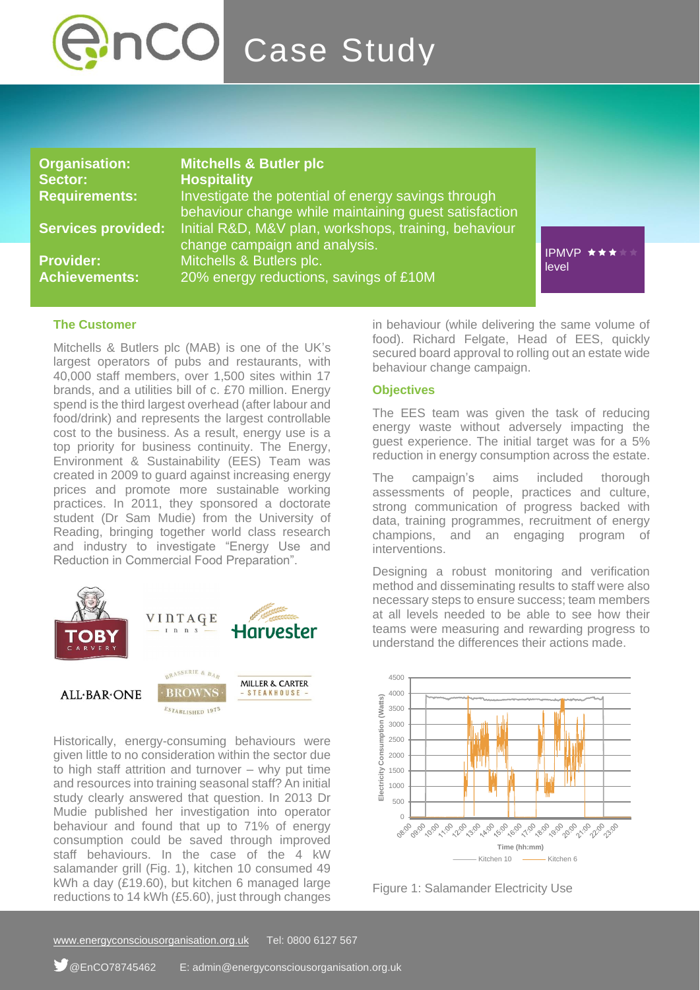

### **The Customer**

Mitchells & Butlers plc (MAB) is one of the UK's largest operators of pubs and restaurants, with 40,000 staff members, over 1,500 sites within 17 brands, and a utilities bill of c. £70 million. Energy spend is the third largest overhead (after labour and food/drink) and represents the largest controllable cost to the business. As a result, energy use is a top priority for business continuity. The Energy, Environment & Sustainability (EES) Team was created in 2009 to guard against increasing energy prices and promote more sustainable working practices. In 2011, they sponsored a doctorate student (Dr Sam Mudie) from the University of Reading, bringing together world class research and industry to investigate "Energy Use and Reduction in Commercial Food Preparation".



Historically, energy-consuming behaviours were given little to no consideration within the sector due to high staff attrition and turnover – why put time and resources into training seasonal staff? An initial study clearly answered that question. In 2013 Dr Mudie published her investigation into operator behaviour and found that up to 71% of energy consumption could be saved through improved staff behaviours. In the case of the 4 kW salamander grill (Fig. 1), kitchen 10 consumed 49 kWh a day (£19.60), but kitchen 6 managed large reductions to 14 kWh (£5.60), just through changes

in behaviour (while delivering the same volume of food). Richard Felgate, Head of EES, quickly secured board approval to rolling out an estate wide behaviour change campaign.

### **Objectives**

The EES team was given the task of reducing energy waste without adversely impacting the guest experience. The initial target was for a 5% reduction in energy consumption across the estate.

The campaign's aims included thorough assessments of people, practices and culture, strong communication of progress backed with data, training programmes, recruitment of energy champions, and an engaging program of interventions.

Designing a robust monitoring and verification method and disseminating results to staff were also necessary steps to ensure success; team members at all levels needed to be able to see how their teams were measuring and rewarding progress to understand the differences their actions made.



Figure 1: Salamander Electricity Use

[www.energyconsciousorganisation.o](http://www.energyconsciousorganisation./)rg.uk Tel: 0800 6127 567

<sup>f</sup> @EnCO78745462 E: admin@energyconsciousorganisation.org.uk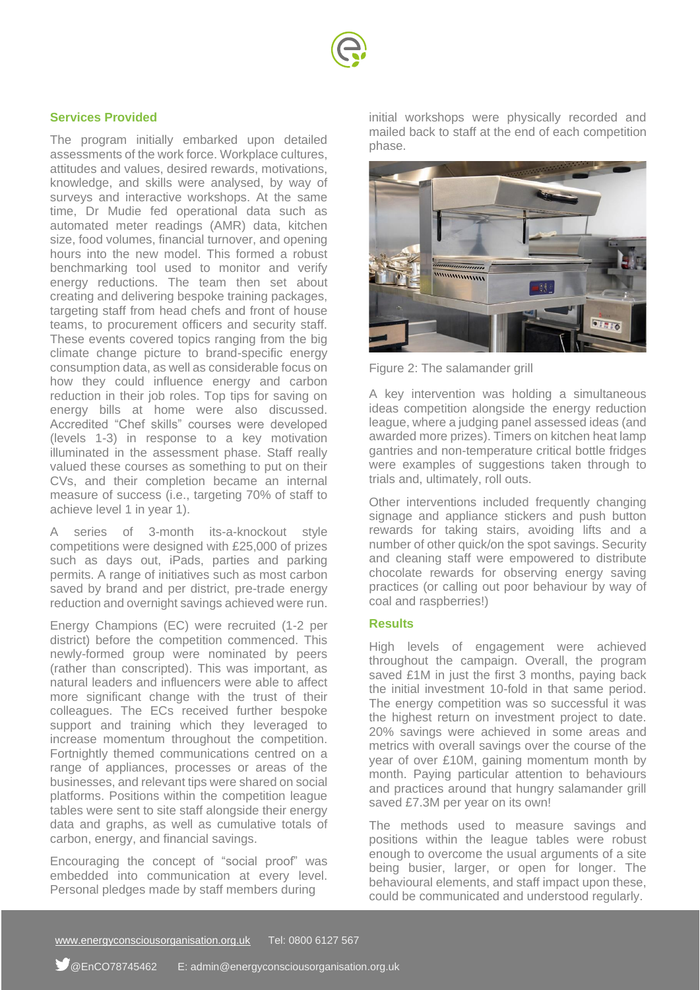

# **Services Provided**

The program initially embarked upon detailed assessments of the work force. Workplace cultures, attitudes and values, desired rewards, motivations, knowledge, and skills were analysed, by way of surveys and interactive workshops. At the same time, Dr Mudie fed operational data such as automated meter readings (AMR) data, kitchen size, food volumes, financial turnover, and opening hours into the new model. This formed a robust benchmarking tool used to monitor and verify energy reductions. The team then set about creating and delivering bespoke training packages, targeting staff from head chefs and front of house teams, to procurement officers and security staff. These events covered topics ranging from the big climate change picture to brand-specific energy consumption data, as well as considerable focus on how they could influence energy and carbon reduction in their job roles. Top tips for saving on energy bills at home were also discussed. Accredited "Chef skills" courses were developed (levels 1-3) in response to a key motivation illuminated in the assessment phase. Staff really valued these courses as something to put on their CVs, and their completion became an internal measure of success (i.e., targeting 70% of staff to achieve level 1 in year 1).

A series of 3-month its-a-knockout style competitions were designed with £25,000 of prizes such as days out, iPads, parties and parking permits. A range of initiatives such as most carbon saved by brand and per district, pre-trade energy reduction and overnight savings achieved were run.

Energy Champions (EC) were recruited (1-2 per district) before the competition commenced. This newly-formed group were nominated by peers (rather than conscripted). This was important, as natural leaders and influencers were able to affect more significant change with the trust of their colleagues. The ECs received further bespoke support and training which they leveraged to increase momentum throughout the competition. Fortnightly themed communications centred on a range of appliances, processes or areas of the businesses, and relevant tips were shared on social platforms. Positions within the competition league tables were sent to site staff alongside their energy data and graphs, as well as cumulative totals of carbon, energy, and financial savings.

Encouraging the concept of "social proof" was embedded into communication at every level. Personal pledges made by staff members during

initial workshops were physically recorded and mailed back to staff at the end of each competition phase.



Figure 2: The salamander grill

A key intervention was holding a simultaneous ideas competition alongside the energy reduction league, where a judging panel assessed ideas (and awarded more prizes). Timers on kitchen heat lamp gantries and non-temperature critical bottle fridges were examples of suggestions taken through to trials and, ultimately, roll outs.

Other interventions included frequently changing signage and appliance stickers and push button rewards for taking stairs, avoiding lifts and a number of other quick/on the spot savings. Security and cleaning staff were empowered to distribute chocolate rewards for observing energy saving practices (or calling out poor behaviour by way of coal and raspberries!)

## **Results**

High levels of engagement were achieved throughout the campaign. Overall, the program saved £1M in just the first 3 months, paying back the initial investment 10-fold in that same period. The energy competition was so successful it was the highest return on investment project to date. 20% savings were achieved in some areas and metrics with overall savings over the course of the year of over £10M, gaining momentum month by month. Paying particular attention to behaviours and practices around that hungry salamander grill saved £7.3M per year on its own!

The methods used to measure savings and positions within the league tables were robust enough to overcome the usual arguments of a site being busier, larger, or open for longer. The behavioural elements, and staff impact upon these, could be communicated and understood regularly.